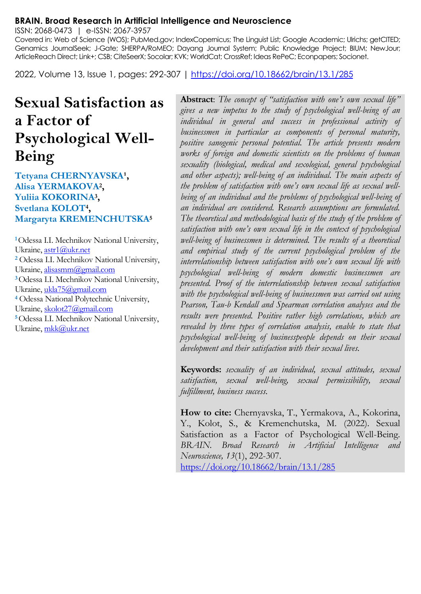#### **BRAIN. Broad Research in Artificial Intelligence and Neuroscience**

ISSN: 2068-0473 | e-ISSN: 2067-3957

Covered in: Web of Science (WOS); PubMed.gov; IndexCopernicus; The Linguist List; Google Academic; Ulrichs; getCITED; Genamics JournalSeek; J-Gate; SHERPA/RoMEO; Dayang Journal System; Public Knowledge Project; BIUM; NewJour; ArticleReach Direct; Link+; CSB; CiteSeerX; Socolar; KVK; WorldCat; CrossRef; Ideas RePeC; Econpapers; Socionet.

2022, Volume 13, Issue 1, pages: 292-307 |<https://doi.org/10.18662/brain/13.1/285>

# **Sexual Satisfaction as a Factor of Psychological Well-Being**

## Tetyana CHERNYAVSKA<sup>1</sup>, **Alisa YERMAKOVA<sup>2</sup> , Yuliia KOKORINA<sup>3</sup> , Svetlana KOLOT<sup>4</sup> , Margaryta KREMENCHUTSKA<sup>5</sup>**

**<sup>1</sup>**Odessa I.I. Mechnikov National University, Ukraine[, astr1@ukr.net](mailto:astr1@ukr.net) **<sup>2</sup>** Odessa I.I. Mechnikov National University, Ukraine[, alisasmm@gmail.com](mailto:alisasmm@gmail.com) **<sup>3</sup>**Odessa I.I. Mechnikov National University, Ukraine[, ukla75@gmail.com](mailto:ukla75@gmail.com) **<sup>4</sup>** Odessa National Polytechnic University, Ukraine[, skolot27@gmail.com](mailto:skolot27@gmail.com) **<sup>5</sup>**Odessa I.I. Mechnikov National University, Ukraine[, mkk@ukr.net](mailto:mkk@ukr.net)

**Abstract**: *The concept of "satisfaction with one's own sexual life" gives a new impetus to the study of psychological well-being of an individual in general and success in professional activity of businessmen in particular as components of personal maturity, positive sanogenic personal potential. The article presents modern works of foreign and domestic scientists on the problems of human sexuality (biological, medical and sexological, general psychological and other aspects); well-being of an individual. The main aspects of the problem of satisfaction with one's own sexual life as sexual wellbeing of an individual and the problems of psychological well-being of an individual are considered. Research assumptions are formulated. The theoretical and methodological basis of the study of the problem of satisfaction with one's own sexual life in the context of psychological well-being of businessmen is determined. The results of a theoretical and empirical study of the current psychological problem of the interrelationship between satisfaction with one's own sexual life with psychological well-being of modern domestic businessmen are presented. Proof of the interrelationship between sexual satisfaction with the psychological well-being of businessmen was carried out using Pearson, Tau-b Kendall and Spearman correlation analyses and the results were presented. Positive rather high correlations, which are revealed by three types of correlation analysis, enable to state that psychological well-being of businesspeople depends on their sexual development and their satisfaction with their sexual lives.*

**Keywords:** *sexuality of an individual, sexual attitudes, sexual satisfaction, sexual well-being, sexual permissibility, sexual fulfillment, business success.*

**How to cite:** Chernyavska, T., Yermakova, A., Kokorina, Y., Kolot, S., & Kremenchutska, M. (2022). Sexual Satisfaction as a Factor of Psychological Well-Being. *BRAIN. Broad Research in Artificial Intelligence and Neuroscience, 13*(1), 292-307. <https://doi.org/10.18662/brain/13.1/285>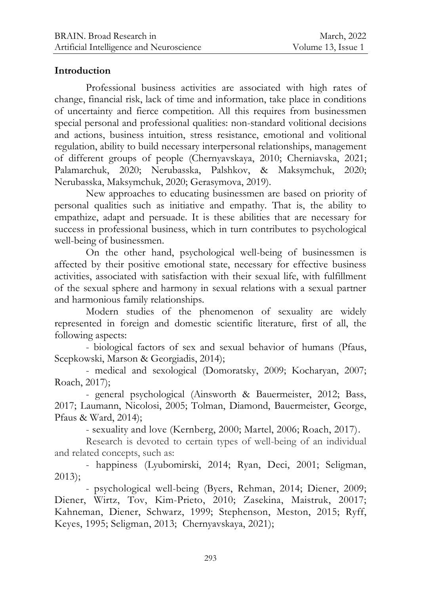## **Introduction**

Professional business activities are associated with high rates of change, financial risk, lack of time and information, take place in conditions of uncertainty and fierce competition. All this requires from businessmen special personal and professional qualities: non-standard volitional decisions and actions, business intuition, stress resistance, emotional and volitional regulation, ability to build necessary interpersonal relationships, management of different groups of people (Chernyavskaya, 2010; Cherniavska, 2021; Palamarchuk, 2020; Nerubasska, Palshkov, & Maksymchuk, 2020; Nerubasska, Maksymchuk, 2020; Gerasymova, 2019).

New approaches to educating businessmen are based on priority of personal qualities such as initiative and empathy. That is, the ability to empathize, adapt and persuade. It is these abilities that are necessary for success in professional business, which in turn contributes to psychological well-being of businessmen.

On the other hand, psychological well-being of businessmen is affected by their positive emotional state, necessary for effective business activities, associated with satisfaction with their sexual life, with fulfillment of the sexual sphere and harmony in sexual relations with a sexual partner and harmonious family relationships.

Modern studies of the phenomenon of sexuality are widely represented in foreign and domestic scientific literature, first of all, the following aspects:

- biological factors of sex and sexual behavior of humans (Pfaus, Scepkowski, Marson & Georgiadis, 2014);

- medical and sexological (Domoratsky, 2009; Kocharyan, 2007; Roach, 2017);

- general psychological (Ainsworth & Bauermeister, 2012; Bass, 2017; Laumann, Nicolosi, 2005; Tolman, Diamond, Bauermeister, George, Pfaus & Ward, 2014);

- sexuality and love (Kernberg, 2000; Martel, 2006; Roach, 2017).

Research is devoted to certain types of well-being of an individual and related concepts, such as:

- happiness (Lyubomirski, 2014; Ryan, Deci, 2001; Seligman, 2013);

- psychological well-being (Byers, Rehman, 2014; Diener, 2009; Diener, Wirtz, Tov, Kim-Prieto, 2010; Zasekina, Maistruk, 20017; Kahneman, Diener, Schwarz, 1999; Stephenson, Meston, 2015; Ryff, Keyes, 1995; Seligman, 2013; Chernyavskaya, 2021);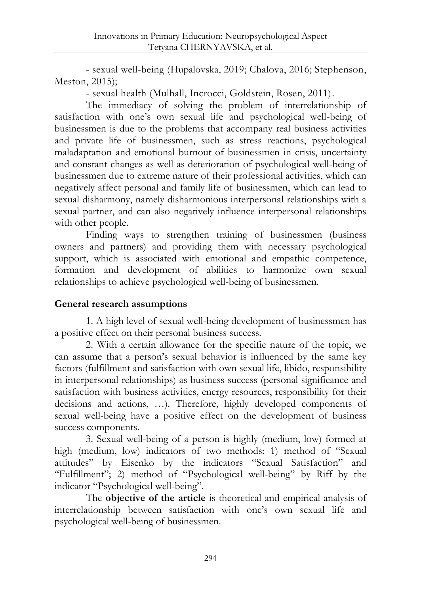- sexual well-being (Hupalovska, 2019; Chalova, 2016; Stephenson, Meston, 2015);

- sexual health (Mulhall, Incrocci, Goldstein, Rosen, 2011).

The immediacy of solving the problem of interrelationship of satisfaction with one's own sexual life and psychological well-being of businessmen is due to the problems that accompany real business activities and private life of businessmen, such as stress reactions, psychological maladaptation and emotional burnout of businessmen in crisis, uncertainty and constant changes as well as deterioration of psychological well-being of businessmen due to extreme nature of their professional activities, which can negatively affect personal and family life of businessmen, which can lead to sexual disharmony, namely disharmonious interpersonal relationships with a sexual partner, and can also negatively influence interpersonal relationships with other people.

Finding ways to strengthen training of businessmen (business owners and partners) and providing them with necessary psychological support, which is associated with emotional and empathic competence, formation and development of abilities to harmonize own sexual relationships to achieve psychological well-being of businessmen.

# **General research assumptions**

1. A high level of sexual well-being development of businessmen has a positive effect on their personal business success.

2. With a certain allowance for the specific nature of the topic, we can assume that a person's sexual behavior is influenced by the same key factors (fulfillment and satisfaction with own sexual life, libido, responsibility in interpersonal relationships) as business success (personal significance and satisfaction with business activities, energy resources, responsibility for their decisions and actions, …). Therefore, highly developed components of sexual well-being have a positive effect on the development of business success components.

3. Sexual well-being of a person is highly (medium, low) formed at high (medium, low) indicators of two methods: 1) method of "Sexual attitudes" by Eisenko by the indicators "Sexual Satisfaction" and "Fulfillment"; 2) method of "Psychological well-being" by Riff by the indicator "Psychological well-being".

The **objective of the article** is theoretical and empirical analysis of interrelationship between satisfaction with one's own sexual life and psychological well-being of businessmen.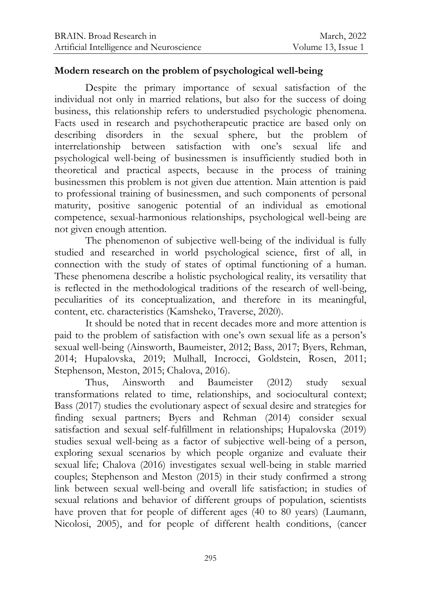## **Modern research on the problem of psychological well-being**

Despite the primary importance of sexual satisfaction of the individual not only in married relations, but also for the success of doing business, this relationship refers to understudied psychologic phenomena. Facts used in research and psychotherapeutic practice are based only on describing disorders in the sexual sphere, but the problem of interrelationship between satisfaction with one's sexual life and psychological well-being of businessmen is insufficiently studied both in theoretical and practical aspects, because in the process of training businessmen this problem is not given due attention. Main attention is paid to professional training of businessmen, and such components of personal maturity, positive sanogenic potential of an individual as emotional competence, sexual-harmonious relationships, psychological well-being are not given enough attention.

The phenomenon of subjective well-being of the individual is fully studied and researched in world psychological science, first of all, in connection with the study of states of optimal functioning of a human. These phenomena describe a holistic psychological reality, its versatility that is reflected in the methodological traditions of the research of well-being, peculiarities of its conceptualization, and therefore in its meaningful, content, etc. characteristics (Kamsheko, Traverse, 2020).

It should be noted that in recent decades more and more attention is paid to the problem of satisfaction with one's own sexual life as a person's sexual well-being (Ainsworth, Baumeister, 2012; Bass, 2017; Byers, Rehman, 2014; Hupalovska, 2019; Mulhall, Incrocci, Goldstein, Rosen, 2011; Stephenson, Meston, 2015; Chalova, 2016).

Thus, Ainsworth and Baumeister (2012) study sexual transformations related to time, relationships, and sociocultural context; Bass (2017) studies the evolutionary aspect of sexual desire and strategies for finding sexual partners; Byers and Rehman (2014) consider sexual satisfaction and sexual self-fulfillment in relationships; Hupalovska (2019) studies sexual well-being as a factor of subjective well-being of a person, exploring sexual scenarios by which people organize and evaluate their sexual life; Chalova (2016) investigates sexual well-being in stable married couples; Stephenson and Meston (2015) in their study confirmed a strong link between sexual well-being and overall life satisfaction; in studies of sexual relations and behavior of different groups of population, scientists have proven that for people of different ages (40 to 80 years) (Laumann, Nicolosi, 2005), and for people of different health conditions, (cancer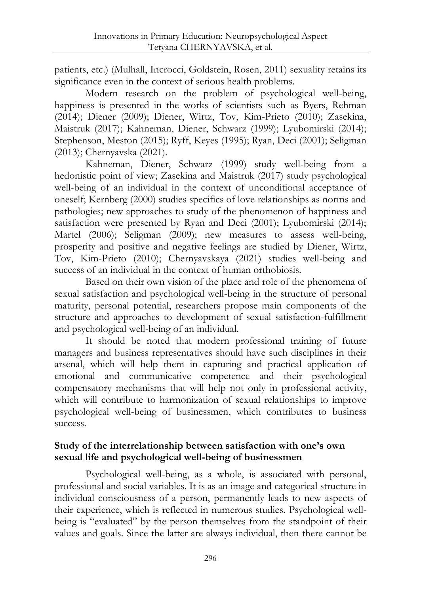patients, etc.) (Mulhall, Incrocci, Goldstein, Rosen, 2011) sexuality retains its significance even in the context of serious health problems.

Modern research on the problem of psychological well-being, happiness is presented in the works of scientists such as Byers, Rehman (2014); Diener (2009); Diener, Wirtz, Tov, Kim-Prieto (2010); Zasekina, Maistruk (2017); Kahneman, Diener, Schwarz (1999); Lyubomirski (2014); Stephenson, Meston (2015); Ryff, Keyes (1995); Ryan, Deci (2001); Seligman (2013); Chernyavska (2021).

Kahneman, Diener, Schwarz (1999) study well-being from a hedonistic point of view; Zasekina and Maistruk (2017) study psychological well-being of an individual in the context of unconditional acceptance of oneself; Kernberg (2000) studies specifics of love relationships as norms and pathologies; new approaches to study of the phenomenon of happiness and satisfaction were presented by Ryan and Deci (2001); Lyubomirski (2014); Martel (2006); Seligman (2009); new measures to assess well-being, prosperity and positive and negative feelings are studied by Diener, Wirtz, Tov, Kim-Prieto (2010); Chernyavskaya (2021) studies well-being and success of an individual in the context of human orthobiosis.

Based on their own vision of the place and role of the phenomena of sexual satisfaction and psychological well-being in the structure of personal maturity, personal potential, researchers propose main components of the structure and approaches to development of sexual satisfaction-fulfillment and psychological well-being of an individual.

It should be noted that modern professional training of future managers and business representatives should have such disciplines in their arsenal, which will help them in capturing and practical application of emotional and communicative competence and their psychological compensatory mechanisms that will help not only in professional activity, which will contribute to harmonization of sexual relationships to improve psychological well-being of businessmen, which contributes to business success.

## **Study of the interrelationship between satisfaction with one's own sexual life and psychological well-being of businessmen**

Psychological well-being, as a whole, is associated with personal, professional and social variables. It is as an image and categorical structure in individual consciousness of a person, permanently leads to new aspects of their experience, which is reflected in numerous studies. Psychological wellbeing is "evaluated" by the person themselves from the standpoint of their values and goals. Since the latter are always individual, then there cannot be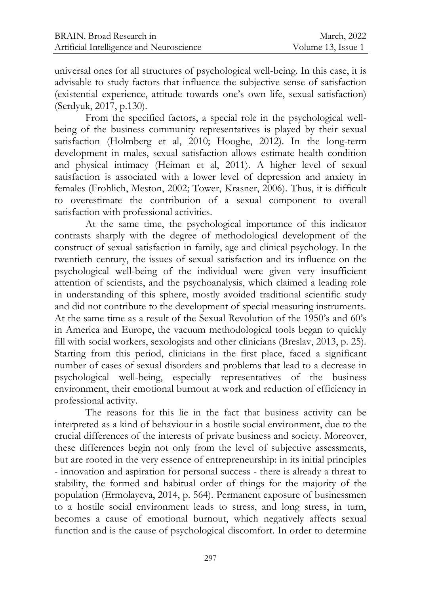universal ones for all structures of psychological well-being. In this case, it is advisable to study factors that influence the subjective sense of satisfaction (existential experience, attitude towards one's own life, sexual satisfaction) (Serdyuk, 2017, p.130).

From the specified factors, a special role in the psychological wellbeing of the business community representatives is played by their sexual satisfaction (Holmberg et al, 2010; Hooghe, 2012). In the long-term development in males, sexual satisfaction allows estimate health condition and physical intimacy (Heiman et al, 2011). A higher level of sexual satisfaction is associated with a lower level of depression and anxiety in females (Frohlich, Meston, 2002; Tower, Krasner, 2006). Thus, it is difficult to overestimate the contribution of a sexual component to overall satisfaction with professional activities.

At the same time, the psychological importance of this indicator contrasts sharply with the degree of methodological development of the construct of sexual satisfaction in family, age and clinical psychology. In the twentieth century, the issues of sexual satisfaction and its influence on the psychological well-being of the individual were given very insufficient attention of scientists, and the psychoanalysis, which claimed a leading role in understanding of this sphere, mostly avoided traditional scientific study and did not contribute to the development of special measuring instruments. At the same time as a result of the Sexual Revolution of the 1950's and 60's in America and Europe, the vacuum methodological tools began to quickly fill with social workers, sexologists and other clinicians (Breslav, 2013, p. 25). Starting from this period, clinicians in the first place, faced a significant number of cases of sexual disorders and problems that lead to a decrease in psychological well-being, especially representatives of the business environment, their emotional burnout at work and reduction of efficiency in professional activity.

The reasons for this lie in the fact that business activity can be interpreted as a kind of behaviour in a hostile social environment, due to the crucial differences of the interests of private business and society. Moreover, these differences begin not only from the level of subjective assessments, but are rooted in the very essence of entrepreneurship: in its initial principles - innovation and aspiration for personal success - there is already a threat to stability, the formed and habitual order of things for the majority of the population (Ermolayeva, 2014, p. 564). Permanent exposure of businessmen to a hostile social environment leads to stress, and long stress, in turn, becomes a cause of emotional burnout, which negatively affects sexual function and is the cause of psychological discomfort. In order to determine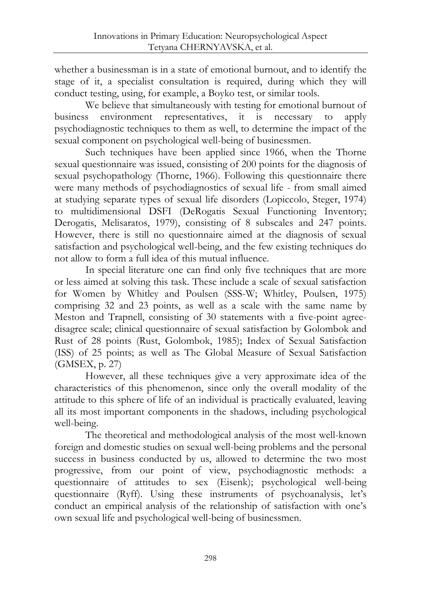whether a businessman is in a state of emotional burnout, and to identify the stage of it, a specialist consultation is required, during which they will conduct testing, using, for example, a Boyko test, or similar tools.

We believe that simultaneously with testing for emotional burnout of business environment representatives, it is necessary to apply psychodiagnostic techniques to them as well, to determine the impact of the sexual component on psychological well-being of businessmen.

Such techniques have been applied since 1966, when the Thorne sexual questionnaire was issued, consisting of 200 points for the diagnosis of sexual psychopathology (Thorne, 1966). Following this questionnaire there were many methods of psychodiagnostics of sexual life - from small aimed at studying separate types of sexual life disorders (Lopiccolo, Steger, 1974) to multidimensional DSFI (DeRogatis Sexual Functioning Inventory; Derogatis, Melisaratos, 1979), consisting of 8 subscales and 247 points. However, there is still no questionnaire aimed at the diagnosis of sexual satisfaction and psychological well-being, and the few existing techniques do not allow to form a full idea of this mutual influence.

In special literature one can find only five techniques that are more or less aimed at solving this task. These include a scale of sexual satisfaction for Women by Whitley and Poulsen (SSS-W; Whitley, Poulsen, 1975) comprising 32 and 23 points, as well as a scale with the same name by Meston and Trapnell, consisting of 30 statements with a five-point agreedisagree scale; clinical questionnaire of sexual satisfaction by Golombok and Rust of 28 points (Rust, Golombok, 1985); Index of Sexual Satisfaction (ISS) of 25 points; as well as The Global Measure of Sexual Satisfaction (GMSEX, p. 27)

However, all these techniques give a very approximate idea of the characteristics of this phenomenon, since only the overall modality of the attitude to this sphere of life of an individual is practically evaluated, leaving all its most important components in the shadows, including psychological well-being.

The theoretical and methodological analysis of the most well-known foreign and domestic studies on sexual well-being problems and the personal success in business conducted by us, allowed to determine the two most progressive, from our point of view, psychodiagnostic methods: a questionnaire of attitudes to sex (Eisenk); psychological well-being questionnaire (Ryff). Using these instruments of psychoanalysis, let's conduct an empirical analysis of the relationship of satisfaction with one's own sexual life and psychological well-being of businessmen.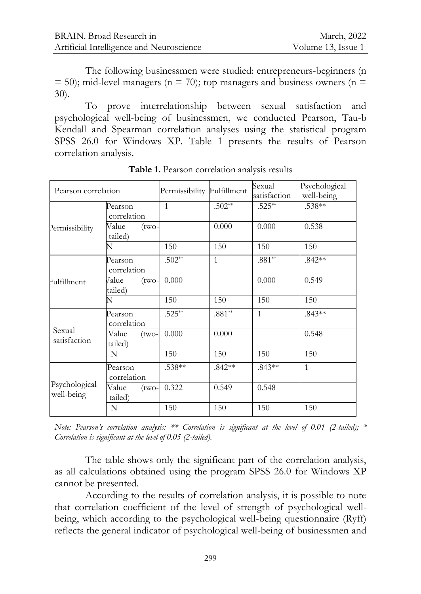The following businessmen were studied: entrepreneurs-beginners (n  $= 50$ ); mid-level managers (n = 70); top managers and business owners (n = 30).

To prove interrelationship between sexual satisfaction and psychological well-being of businessmen, we conducted Pearson, Tau-b Kendall and Spearman correlation analyses using the statistical program SPSS 26.0 for Windows XP. Table 1 presents the results of Pearson correlation analysis.

| Pearson correlation         |                             | Permissibility Fulfillment |              | Sexual<br>satisfaction | Psychological<br>well-being |
|-----------------------------|-----------------------------|----------------------------|--------------|------------------------|-----------------------------|
| Permissibility              | Pearson<br>correlation      | $\mathbf{1}$               | $.502**$     | $.525**$               | $.538**$                    |
|                             | Value<br>(two-<br>tailed)   |                            | 0.000        | 0.000                  | 0.538                       |
|                             | N                           | 150                        | 150          | 150                    | 150                         |
| Fulfillment                 | Pearson<br>correlation      | $.502**$                   | $\mathbf{1}$ | $.881**$               | $.842**$                    |
|                             | Value<br>$(two-$<br>tailed) | 0.000                      |              | 0.000                  | 0.549                       |
|                             | N                           | 150                        | 150          | 150                    | 150                         |
| Sexual<br>satisfaction      | Pearson<br>correlation      | $.525**$                   | $.881**$     | $\mathbf{1}$           | $.843**$                    |
|                             | Value<br>$(two-$<br>tailed) | 0.000                      | 0.000        |                        | 0.548                       |
|                             | N                           | 150                        | 150          | 150                    | 150                         |
| Psychological<br>well-being | Pearson<br>correlation      | .538**                     | $.842**$     | $.843**$               | $\mathbf{1}$                |
|                             | Value<br>$(two-$<br>tailed) | 0.322                      | 0.549        | 0.548                  |                             |
|                             | N                           | 150                        | 150          | 150                    | 150                         |

**Table 1.** Pearson correlation analysis results

*Note: Pearson's correlation analysis: \*\* Correlation is significant at the level of 0.01 (2-tailed); \* Correlation is significant at the level of 0.05 (2-tailed).*

The table shows only the significant part of the correlation analysis, as all calculations obtained using the program SPSS 26.0 for Windows XP cannot be presented.

According to the results of correlation analysis, it is possible to note that correlation coefficient of the level of strength of psychological wellbeing, which according to the psychological well-being questionnaire (Ryff) reflects the general indicator of psychological well-being of businessmen and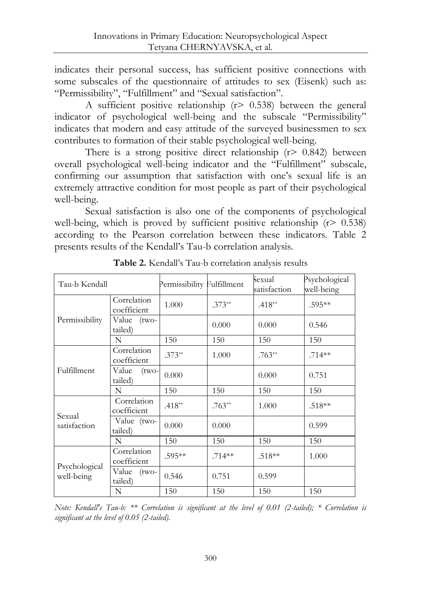indicates their personal success, has sufficient positive connections with some subscales of the questionnaire of attitudes to sex (Eisenk) such as: "Permissibility", "Fulfillment" and "Sexual satisfaction".

A sufficient positive relationship  $(r > 0.538)$  between the general indicator of psychological well-being and the subscale "Permissibility" indicates that modern and easy attitude of the surveyed businessmen to sex contributes to formation of their stable psychological well-being.

There is a strong positive direct relationship  $(r > 0.842)$  between overall psychological well-being indicator and the "Fulfillment" subscale, confirming our assumption that satisfaction with one's sexual life is an extremely attractive condition for most people as part of their psychological well-being.

Sexual satisfaction is also one of the components of psychological well-being, which is proved by sufficient positive relationship  $(r > 0.538)$ according to the Pearson correlation between these indicators. Table 2 presents results of the Kendall's Tau-b correlation analysis.

| Tau-b Kendall               |                             | Permissibility Fulfillment |          | Sexual<br>satisfaction | Psychological<br>well-being |
|-----------------------------|-----------------------------|----------------------------|----------|------------------------|-----------------------------|
| Permissibility              | Correlation<br>coefficient  | 1.000                      | $.373**$ | $.418**$               | .595**                      |
|                             | Value (two-<br>tailed)      |                            | 0.000    | 0.000                  | 0.546                       |
|                             | N                           | 150                        | 150      | 150                    | 150                         |
| Fulfillment                 | Correlation<br>coefficient  | $.373**$                   | 1.000    | $.763**$               | $.714**$                    |
|                             | Value<br>$(two-$<br>tailed) | 0.000                      |          | 0.000                  | 0.751                       |
|                             | N                           | 150                        | 150      | 150                    | 150                         |
| Sexual<br>satisfaction      | Correlation<br>coefficient  | $.418**$                   | $.763**$ | 1.000                  | $.518**$                    |
|                             | Value (two-<br>tailed)      | 0.000                      | 0.000    |                        | 0.599                       |
|                             | N                           | 150                        | 150      | 150                    | 150                         |
| Psychological<br>well-being | Correlation<br>coefficient  | $.595**$                   | $.714**$ | $.518**$               | 1.000                       |
|                             | Value<br>$(two-$<br>tailed) | 0.546                      | 0.751    | 0.599                  |                             |
|                             | N                           | 150                        | 150      | 150                    | 150                         |

**Table 2.** Kendall's Tau-b correlation analysis results

*Note: Kendall's Tau-b: \*\* Correlation is significant at the level of 0.01 (2-tailed); \* Correlation is significant at the level of 0.05 (2-tailed).*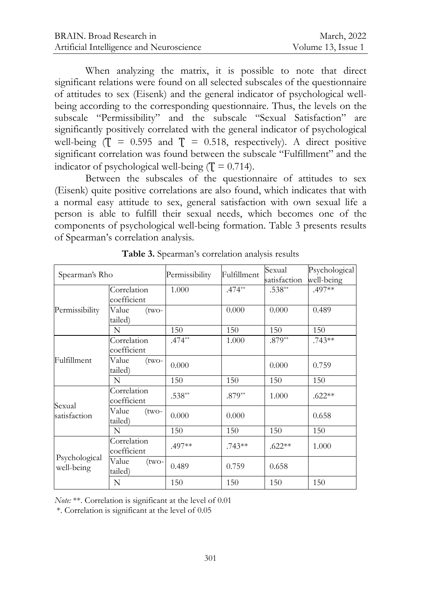When analyzing the matrix, it is possible to note that direct significant relations were found on all selected subscales of the questionnaire of attitudes to sex (Eisenk) and the general indicator of psychological wellbeing according to the corresponding questionnaire. Thus, the levels on the subscale "Permissibility" and the subscale "Sexual Satisfaction" are significantly positively correlated with the general indicator of psychological well-being  $(T = 0.595$  and  $T = 0.518$ , respectively). A direct positive significant correlation was found between the subscale "Fulfillment" and the indicator of psychological well-being  $(T = 0.714)$ .

Between the subscales of the questionnaire of attitudes to sex (Eisenk) quite positive correlations are also found, which indicates that with a normal easy attitude to sex, general satisfaction with own sexual life a person is able to fulfill their sexual needs, which becomes one of the components of psychological well-being formation. Table 3 presents results of Spearman's correlation analysis.

| Spearman's Rho              |                             | Permissibility | Fulfillment | Sexual<br>satisfaction | Psychological<br>well-being |
|-----------------------------|-----------------------------|----------------|-------------|------------------------|-----------------------------|
| Permissibility              | Correlation<br>coefficient  | 1.000          | $.474**$    | $.538**$               | $.497**$                    |
|                             | Value<br>(two-<br>tailed)   |                | 0.000       | 0.000                  | 0.489                       |
|                             | N                           | 150            | 150         | 150                    | 150                         |
| Fulfillment                 | Correlation<br>coefficient  | $.474**$       | 1.000       | $.879**$               | $.743**$                    |
|                             | Value<br>(two-<br>tailed)   | 0.000          |             | 0.000                  | 0.759                       |
|                             | N                           | 150            | 150         | 150                    | 150                         |
| Sexual<br>satisfaction      | Correlation<br>coefficient  | $.538**$       | $.879**$    | 1.000                  | $.622**$                    |
|                             | Value<br>$(two-$<br>tailed) | 0.000          | 0.000       |                        | 0.658                       |
|                             | N                           | 150            | 150         | 150                    | 150                         |
| Psychological<br>well-being | Correlation<br>coefficient  | .497**         | $.743**$    | $.622**$               | 1.000                       |
|                             | Value<br>(two-<br>tailed)   | 0.489          | 0.759       | 0.658                  |                             |
|                             | N                           | 150            | 150         | 150                    | 150                         |

**Table 3.** Spearman's correlation analysis results

*Note:* \*\*. Correlation is significant at the level of 0.01

\*. Correlation is significant at the level of 0.05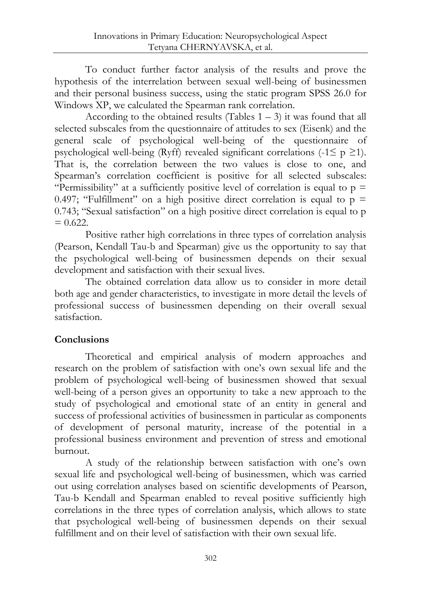To conduct further factor analysis of the results and prove the hypothesis of the interrelation between sexual well-being of businessmen and their personal business success, using the static program SPSS 26.0 for Windows XP, we calculated the Spearman rank correlation.

According to the obtained results (Tables  $1 - 3$ ) it was found that all selected subscales from the questionnaire of attitudes to sex (Eisenk) and the general scale of psychological well-being of the questionnaire of psychological well-being (Ryff) revealed significant correlations (-1 $\leq p \geq 1$ ). That is, the correlation between the two values is close to one, and Spearman's correlation coefficient is positive for all selected subscales: "Permissibility" at a sufficiently positive level of correlation is equal to  $p =$ 0.497; "Fulfillment" on a high positive direct correlation is equal to  $p =$ 0.743; "Sexual satisfaction" on a high positive direct correlation is equal to p  $= 0.622$ .

Positive rather high correlations in three types of correlation analysis (Pearson, Kendall Tau-b and Spearman) give us the opportunity to say that the psychological well-being of businessmen depends on their sexual development and satisfaction with their sexual lives.

The obtained correlation data allow us to consider in more detail both age and gender characteristics, to investigate in more detail the levels of professional success of businessmen depending on their overall sexual satisfaction.

## **Conclusions**

Theoretical and empirical analysis of modern approaches and research on the problem of satisfaction with one's own sexual life and the problem of psychological well-being of businessmen showed that sexual well-being of a person gives an opportunity to take a new approach to the study of psychological and emotional state of an entity in general and success of professional activities of businessmen in particular as components of development of personal maturity, increase of the potential in a professional business environment and prevention of stress and emotional burnout.

A study of the relationship between satisfaction with one's own sexual life and psychological well-being of businessmen, which was carried out using correlation analyses based on scientific developments of Pearson, Tau-b Kendall and Spearman enabled to reveal positive sufficiently high correlations in the three types of correlation analysis, which allows to state that psychological well-being of businessmen depends on their sexual fulfillment and on their level of satisfaction with their own sexual life.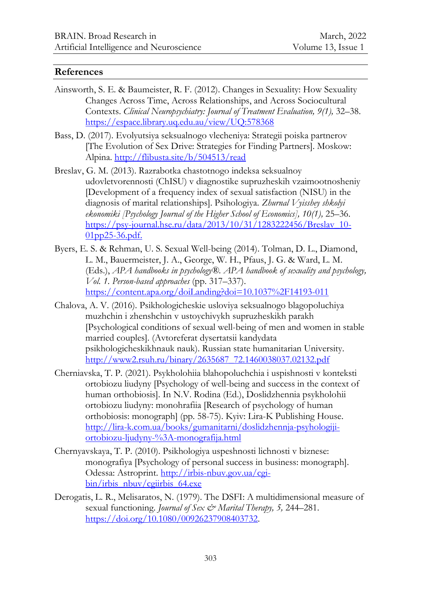### **References**

- Ainsworth, S. E. & Baumeister, R. F. (2012). Changes in Sexuality: How Sexuality Changes Across Time, Across Relationships, and Across Sociocultural Contexts. *Clinical Neuropsychiatry: Journal of Treatment Evaluation, 9(1),* 32–38. <https://espace.library.uq.edu.au/view/UQ:578368>
- Bass, D. (2017). Evolyutsiya seksualnogo vlecheniya: Strategii poiska partnerov [The Evolution of Sex Drive: Strategies for Finding Partners]. Moskow: Alpina.<http://flibusta.site/b/504513/read>
- Breslav, G. M. (2013). Razrabotka chastotnogo indeksa seksualnoy udovletvorennosti (ChISU) v diagnostike supruzheskih vzaimootnosheniy [Development of a frequency index of sexual satisfaction (NISU) in the diagnosis of marital relationships]. Psihologiya. *Zhurnal Vyisshey shkolyi ekonomiki [Psychology Journal of the Higher School of Economics], 10(1),* 25–36. [https://psy-journal.hse.ru/data/2013/10/31/1283222456/Breslav\\_10-](https://psy-journal.hse.ru/data/2013/10/31/1283222456/Breslav_10-01pp25-36.pdf) [01pp25-36.pdf.](https://psy-journal.hse.ru/data/2013/10/31/1283222456/Breslav_10-01pp25-36.pdf)
- Byers, E. S. & Rehman, U. S. Sexual Well-being (2014). Tolman, D. L., Diamond, L. M., Bauermeister, J. A., George, W. H., Pfaus, J. G. & Ward, L. M. (Eds.), *APA handbooks in psychology®. APA handbook of sexuality and psychology, Vol. 1. Person-based approaches* (pp. 317–337). <https://content.apa.org/doiLanding?doi=10.1037%2F14193-011>
- Chalova, A. V. (2016). Psikhologicheskie usloviya seksualnogo blagopoluchiya muzhchin i zhenshchin v ustoychivykh supruzheskikh parakh [Psychological conditions of sexual well-being of men and women in stable married couples]. (Avtoreferat dysertatsii kandydata psikhologicheskikhnauk nauk). Russian state humanitarian University. [http://www2.rsuh.ru/binary/2635687\\_72.1460038037.02132.pdf](http://www2.rsuh.ru/binary/2635687_72.1460038037.02132.pdf)
- Cherniavska, T. P. (2021). Psykholohiia blahopoluchchia i uspishnosti v konteksti ortobiozu liudyny [Psychology of well-being and success in the context of human orthobiosis]. In N.V. Rodina (Ed.), Doslidzhennia psykholohii ortobiozu liudyny: monohrafiia [Research of psychology of human orthobiosis: monograph] (pp. 58-75). Kyiv: Lira-K Publishing House. [http://lira-k.com.ua/books/gumanitarni/doslidzhennja-psyhologiji](http://lira-k.com.ua/books/gumanitarni/doslidzhennja-psyhologiji-ortobiozu-ljudyny-%3A-monografija.html)[ortobiozu-ljudyny-%3A-monografija.html](http://lira-k.com.ua/books/gumanitarni/doslidzhennja-psyhologiji-ortobiozu-ljudyny-%3A-monografija.html)
- Chernyavskaya, T. P. (2010). Psikhologiya uspeshnosti lichnosti v biznese: monografiya [Psychology of personal success in business: monograph]. Odessa: Astroprint. [http://irbis-nbuv.gov.ua/cgi](http://irbis-nbuv.gov.ua/cgi-bin/irbis_nbuv/cgiirbis_64.exe)[bin/irbis\\_nbuv/cgiirbis\\_64.exe](http://irbis-nbuv.gov.ua/cgi-bin/irbis_nbuv/cgiirbis_64.exe)
- Derogatis, L. R., Melisaratos, N. (1979). The DSFI: A multidimensional measure of sexual functioning. *Journal of Sex & Marital Therapy*, 5, 244–281. [https://doi.org/10.1080/00926237908403732.](https://doi.org/10.1080/00926237908403732)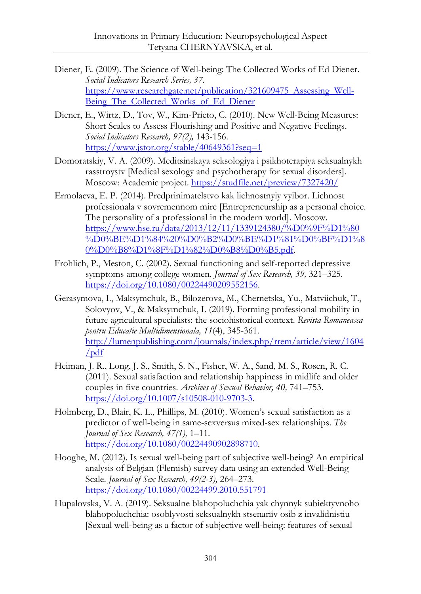- Diener, E. (2009). The Science of Well-being: The Collected Works of Ed Diener. *Social Indicators Research Series, 37.* [https://www.researchgate.net/publication/321609475\\_Assessing\\_Well-](https://www.researchgate.net/publication/321609475_Assessing_Well-Being_The_Collected_Works_of_Ed_Diener)Being The Collected Works of Ed Diener
- Diener, E., Wirtz, D., Tov, W., Kim-Prieto, C. (2010)[. New Well-Being Measures:](https://link.springer.com/content/pdf/10.1007/s11205-009-9493-y.pdf)  [Short Scales to Assess Flourishing and Positive and Negative Feelings.](https://link.springer.com/content/pdf/10.1007/s11205-009-9493-y.pdf) *Social Indicators Research, 97(2),* 143-156. <https://www.jstor.org/stable/40649361?seq=1>
- Domoratskiy, V. A. (2009). Meditsinskaya seksologiya i psikhoterapiya seksualnykh rasstroystv [Medical sexology and psychotherapy for sexual disorders]. Moscow: Academic project.<https://studfile.net/preview/7327420/>
- Ermolaeva, E. P. (2014). Predprinimatelstvo kak lichnostnyiy vyibor. Lichnost professionala v sovremennom mire [Entrepreneurship as a personal choice. The personality of a professional in the modern world]. Moscow. [https://www.hse.ru/data/2013/12/11/1339124380/%D0%9F%D1%80](https://www.hse.ru/data/2013/12/11/1339124380/%D0%9F%D1%80%D0%BE%D1%84%20%D0%B2%D0%BE%D1%81%D0%BF%D1%80%D0%B8%D1%8F%D1%82%D0%B8%D0%B5.pdf) [%D0%BE%D1%84%20%D0%B2%D0%BE%D1%81%D0%BF%D1%8](https://www.hse.ru/data/2013/12/11/1339124380/%D0%9F%D1%80%D0%BE%D1%84%20%D0%B2%D0%BE%D1%81%D0%BF%D1%80%D0%B8%D1%8F%D1%82%D0%B8%D0%B5.pdf) [0%D0%B8%D1%8F%D1%82%D0%B8%D0%B5.pdf.](https://www.hse.ru/data/2013/12/11/1339124380/%D0%9F%D1%80%D0%BE%D1%84%20%D0%B2%D0%BE%D1%81%D0%BF%D1%80%D0%B8%D1%8F%D1%82%D0%B8%D0%B5.pdf)
- Frohlich, P., Meston, C. (2002). Sexual functioning and self-reported depressive symptoms among college women. *Journal of Sex Research, 39,* 321–325. [https://doi.org/10.1080/00224490209552156.](https://doi.org/10.1080/00224490209552156)
- Gerasymova, I., Maksymchuk, B., Bilozerova, M., Chernetska, Yu., Matviichuk, T., Solovyov, V., & Maksymchuk, I. (2019). Forming professional mobility in future agricultural specialists: the sociohistorical context. *Revista Romaneasca pentru Educatie Multidimensionala, 11*(4), 345-361. [http://lumenpublishing.com/journals/index.php/rrem/article/view/1604](http://lumenpublishing.com/journals/index.php/rrem/article/view/1604/pdf) [/pdf](http://lumenpublishing.com/journals/index.php/rrem/article/view/1604/pdf)
- Heiman, J. R., Long, J. S., Smith, S. N., Fisher, W. A., Sand, M. S., Rosen, R. C. (2011). Sexual satisfaction and relationship happiness in midlife and older couples in five countries. *Archives of Sexual Behavior, 40,* 741–753. [https://doi.org/10.1007/s10508-010-9703-3.](https://doi.org/10.1007/s10508-010-9703-3)
- Holmberg, D., Blair, K. L., Phillips, M. (2010). Women's sexual satisfaction as a predictor of well-being in same-sexversus mixed-sex relationships. *The Journal of Sex Research, 47(1),* 1–11. [https://doi.org/10.1080/00224490902898710.](https://doi.org/10.1080/00224490902898710)
- Hooghe, M. (2012). Is sexual well-being part of subjective well-being? An empirical analysis of Belgian (Flemish) survey data using an extended Well-Being Scale. *Journal of Sex Research, 49(2-3),* 264–273. <https://doi.org/10.1080/00224499.2010.551791>
- Hupalovska, V. A. (2019). Seksualne blahopoluchchia yak chynnyk subiektyvnoho blahopoluchchia: osoblyvosti seksualnykh stsenariiv osib z invalidnistiu [Sexual well-being as a factor of subjective well-being: features of sexual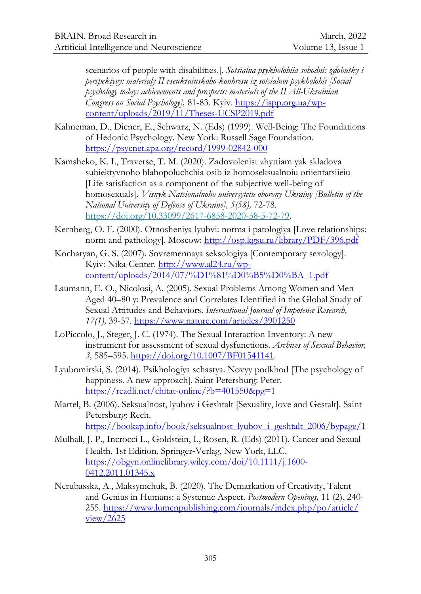scenarios of people with disabilities.]. *Sotsialna psykholohiia sohodni: zdobutky i perspektyvy: materialy II vseukrainskoho konhresu iz sotsialnoi psykholohii [Social psychology today: achievements and prospects: materials of the II All-Ukrainian Congress on Social Psychology],* 81-83*.* Kyiv. [https://ispp.org.ua/wp](https://ispp.org.ua/wp-content/uploads/2019/11/Theses-UCSP2019.pdf)[content/uploads/2019/11/Theses-UCSP2019.pdf](https://ispp.org.ua/wp-content/uploads/2019/11/Theses-UCSP2019.pdf)

- Kahneman, D., Diener, E., Schwarz, N. (Eds) (1999). Well-Being: The Foundations of Hedonic Psychology. New York: Russell Sage Foundation. <https://psycnet.apa.org/record/1999-02842-000>
- Kamsheko, K. I., Traverse, T. M. (2020). Zadovolenist zhyttiam yak skladova subiektyvnoho blahopoluchchia osib iz homoseksualnoiu oriientatsiieiu [Life satisfaction as a component of the subjective well-being of homosexuals]. *Visnyk Natsionalnoho universytetu oborony Ukrainy [Bulletin of the National University of Defense of Ukraine], 5(58),* 72-78. [https://doi.org/10.33099/2617-6858-2020-58-5-72-79.](https://doi.org/10.33099/2617-6858-2020-58-5-72-79)
- Kernberg, O. F. (2000). Otnosheniya lyubvi: norma i patologiya [Love relationships: norm and pathology]. Moscow:<http://osp.kgsu.ru/library/PDF/396.pdf>
- Kocharyan, G. S. (2007). Sovremennaya seksologiya [Contemporary sexology]. Kyiv: Nika-Center. [http://www.al24.ru/wp](http://www.al24.ru/wp-content/uploads/2014/07/%D1%81%D0%B5%D0%BA_1.pdf)[content/uploads/2014/07/%D1%81%D0%B5%D0%BA\\_1.pdf](http://www.al24.ru/wp-content/uploads/2014/07/%D1%81%D0%B5%D0%BA_1.pdf)
- [Laumann,](https://www.researchgate.net/profile/Edward-Laumann) E. O., [Nicolosi,](https://www.researchgate.net/profile/Alfredo-Nicolosi) A. (2005). Sexual Problems Among Women and Men Aged 40–80 y: Prevalence and Correlates Identified in the Global Study of Sexual Attitudes and Behaviors. *[International Journal of Impotence Research,](https://www.researchgate.net/journal/International-Journal-of-Impotence-Research-0955-9930) 17(1),* 39-57. https://www.nature.com/articles/3901250
- LoPiccolo, J., Steger, J. C. (1974). The Sexual Interaction Inventory: A new instrument for assessment of sexual dysfunctions. *Archives of Sexual Behavior, 3,* 585–595[. https://doi.org/10.1007/BF01541141.](https://doi.org/10.1007/BF01541141)
- Lyubomirski, S. (2014). Psikhologiya schastya. Novyy podkhod [The psychology of happiness. A new approach]. Saint Petersburg: Peter. <https://readli.net/chitat-online/?b=401550&pg=1>
- Martel, B. (2006). Seksualnost, lyubov i Geshtalt [Sexuality, love and Gestalt]. Saint Petersburg: Rech. [https://bookap.info/book/seksualnost\\_lyubov\\_i\\_geshtalt\\_2006/bypage/1](https://bookap.info/book/seksualnost_lyubov_i_geshtalt_2006/bypage/1)
- Mulhall, J. P., Incrocci L., Goldstein, I., Rosen, R. (Eds) (2011). Cancer and Sexual Health. 1st Edition. Springer‐Verlag, New York, LLC. [https://obgyn.onlinelibrary.wiley.com/doi/10.1111/j.1600-](https://obgyn.onlinelibrary.wiley.com/doi/10.1111/j.1600-0412.2011.01345.x) [0412.2011.01345.x](https://obgyn.onlinelibrary.wiley.com/doi/10.1111/j.1600-0412.2011.01345.x)
- Nerubasska, A., Maksymchuk, B. (2020). The Demarkation of Creativity, Talent and Genius in Humans: a Systemic Aspect. *Postmodern Openings,* 11 (2), 240- 255. [https://www.lumenpublishing.com/journals/index.php/po/article/](https://www.lumenpublishing.com/journals/index.php/po/article/%0bview/2625) [view/2625](https://www.lumenpublishing.com/journals/index.php/po/article/%0bview/2625)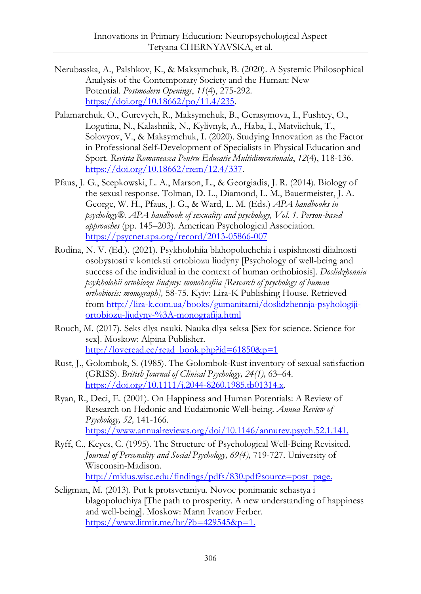- Nerubasska, A., Palshkov, K., & Maksymchuk, B. (2020). A Systemic Philosophical Analysis of the Contemporary Society and the Human: New Potential. *Postmodern Openings*, *11*(4), 275-292. [https://doi.org/10.18662/po/11.4/235.](https://doi.org/10.18662/po/11.4/235)
- Palamarchuk, O., Gurevych, R., Maksymchuk, B., Gerasymova, I., Fushtey, O., Logutina, N., Kalashnik, N., Kylivnyk, A., Haba, I., Matviichuk, T., Solovyov, V., & Maksymchuk, I. (2020). Studying Innovation as the Factor in Professional Self-Development of Specialists in Physical Education and Sport. *Revista Romaneasca Pentru Educatie Multidimensionala*, *12*(4), 118-136. [https://doi.org/10.18662/rrem/12.4/337.](https://doi.org/10.18662/rrem/12.4/337)
- Pfaus, J. G., Scepkowski, L. A., Marson, L., & Georgiadis, J. R. (2014). Biology of the sexual response. Tolman, D. L., Diamond, L. M., Bauermeister, J. A. George, W. H., Pfaus, J. G., & Ward, L. M. (Eds.) *APA handbooks in psychology®. APA handbook of sexuality and psychology, Vol. 1. Person-based approaches* (pp. 145–203). American Psychological Association. <https://psycnet.apa.org/record/2013-05866-007>
- Rodina, N. V. (Ed.). (2021). Psykholohiia blahopoluchchia i uspishnosti diialnosti osobystosti v konteksti ortobiozu liudyny [Psychology of well-being and success of the individual in the context of human orthobiosis]. *Doslidzhennia psykholohii ortobiozu liudyny: monohrafiia [Research of psychology of human orthobiosis: monograph],* 58-75. Kyiv: Lira-K Publishing House. Retrieved from [http://lira-k.com.ua/books/gumanitarni/doslidzhennja-psyhologiji](http://lira-k.com.ua/books/gumanitarni/doslidzhennja-psyhologiji-ortobiozu-ljudyny-%3A-monografija.html)[ortobiozu-ljudyny-%3A-monografija.html](http://lira-k.com.ua/books/gumanitarni/doslidzhennja-psyhologiji-ortobiozu-ljudyny-%3A-monografija.html)
- Rouch, M. (2017). Seks dlya nauki. Nauka dlya seksa [Sex for science. Science for sex]. Moskow: Alpina Publisher. [http://loveread.ec/read\\_book.php?id=61850&p=1](http://loveread.ec/read_book.php?id=61850&p=1)
- Rust, J., Golombok, S. (1985). The Golombok-Rust inventory of sexual satisfaction (GRISS). *British Journal of Clinical Psychology, 24(1),* 63–64. [https://doi.org/10.1111/j.2044-8260.1985.tb01314.x.](https://doi.org/10.1111/j.2044-8260.1985.tb01314.x)
- Ryan, R., Deci, E. (2001). On Happiness and Human Potentials: A Review of Research on Hedonic and Eudaimonic Well-being. *Annua Review of Psychology, 52,* 141-166. https://www.annualreviews.org/doi/10.1146/annurev.psych.52.1.141.
- Ryff, C., Keyes, C. (1995). The Structure of Psychological Well-Being Revisited. Journal of Personality and Social Psychology, 69(4), 719-727. University of Wisconsin-Madison. [http://midus.wisc.edu/findings/pdfs/830.pdf?source=post\\_page.](http://midus.wisc.edu/findings/pdfs/830.pdf?source=post_page)
- Seligman, M. (2013). Put k protsvetaniyu. Novoe ponimanie schastya i blagopoluchiya [The path to prosperity. A new understanding of happiness and well-being]. Moskow: Mann Ivanov Ferber. [https://www.litmir.me/br/?b=429545&p=1.](https://www.litmir.me/br/?b=429545&p=1)